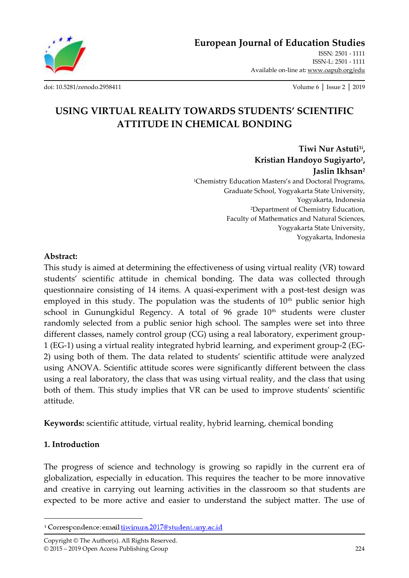**[European Journal of Education Studies](http://oapub.org/edu/index.php/ejes)**

[ISSN: 2501 -](http://oapub.org/edu/index.php/ejes) 1111 [ISSN-L: 2501 -](http://oapub.org/edu/index.php/ejes) 1111 Available on-line at**:** [www.oapub.org/edu](http://www.oapub.org/edu)

[doi: 10.5281/zenodo.2958411](http://dx.doi.org/10.5281/zenodo.2958411) Volume 6 │ Issue 2 │ 2019

# **USING VIRTUAL REALITY TOWARDS STUDENTS' SCIENTIFIC ATTITUDE IN CHEMICAL BONDING**

**Tiwi Nur Astuti1i , Kristian Handoyo Sugiyarto<sup>2</sup> , Jaslin Ikhsan<sup>2</sup>** <sup>1</sup>Chemistry Education Masters's and Doctoral Programs, Graduate School, Yogyakarta State University, Yogyakarta, Indonesia <sup>2</sup>Department of Chemistry Education, Faculty of Mathematics and Natural Sciences, Yogyakarta State University, Yogyakarta, Indonesia

#### **Abstract:**

This study is aimed at determining the effectiveness of using virtual reality (VR) toward students' scientific attitude in chemical bonding. The data was collected through questionnaire consisting of 14 items. A quasi-experiment with a post-test design was employed in this study. The population was the students of  $10<sup>th</sup>$  public senior high school in Gunungkidul Regency. A total of  $96$  grade  $10<sup>th</sup>$  students were cluster randomly selected from a public senior high school. The samples were set into three different classes, namely control group (CG) using a real laboratory, experiment group-1 (EG-1) using a virtual reality integrated hybrid learning, and experiment group-2 (EG-2) using both of them. The data related to students' scientific attitude were analyzed using ANOVA. Scientific attitude scores were significantly different between the class using a real laboratory, the class that was using virtual reality, and the class that using both of them. This study implies that VR can be used to improve students' scientific attitude.

**Keywords:** scientific attitude, virtual reality, hybrid learning, chemical bonding

### **1. Introduction**

 $\overline{\phantom{a}}$ 

The progress of science and technology is growing so rapidly in the current era of globalization, especially in education. This requires the teacher to be more innovative and creative in carrying out learning activities in the classroom so that students are expected to be more active and easier to understand the subject matter. The use of

Copyright © The Author(s). All Rights Reserved. © 2015 – 2019 Open Access Publishing Group 224

<sup>&</sup>lt;sup>i</sup> Correspondence: email tiwinura.2017@student.uny.ac.id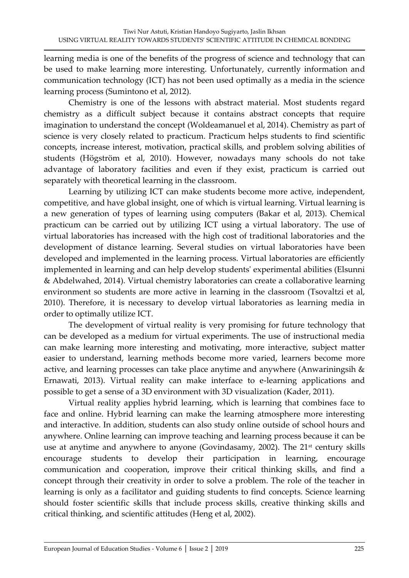learning media is one of the benefits of the progress of science and technology that can be used to make learning more interesting. Unfortunately, currently information and communication technology (ICT) has not been used optimally as a media in the science learning process (Sumintono et al, 2012).

Chemistry is one of the lessons with abstract material. Most students regard chemistry as a difficult subject because it contains abstract concepts that require imagination to understand the concept (Woldeamanuel et al, 2014). Chemistry as part of science is very closely related to practicum. Practicum helps students to find scientific concepts, increase interest, motivation, practical skills, and problem solving abilities of students (Högström et al, 2010). However, nowadays many schools do not take advantage of laboratory facilities and even if they exist, practicum is carried out separately with theoretical learning in the classroom.

Learning by utilizing ICT can make students become more active, independent, competitive, and have global insight, one of which is virtual learning. Virtual learning is a new generation of types of learning using computers (Bakar et al, 2013). Chemical practicum can be carried out by utilizing ICT using a virtual laboratory. The use of virtual laboratories has increased with the high cost of traditional laboratories and the development of distance learning. Several studies on virtual laboratories have been developed and implemented in the learning process. Virtual laboratories are efficiently implemented in learning and can help develop students' experimental abilities (Elsunni & Abdelwahed, 2014). Virtual chemistry laboratories can create a collaborative learning environment so students are more active in learning in the classroom (Tsovaltzi et al, 2010). Therefore, it is necessary to develop virtual laboratories as learning media in order to optimally utilize ICT.

The development of virtual reality is very promising for future technology that can be developed as a medium for virtual experiments. The use of instructional media can make learning more interesting and motivating, more interactive, subject matter easier to understand, learning methods become more varied, learners become more active, and learning processes can take place anytime and anywhere (Anwariningsih & Ernawati, 2013). Virtual reality can make interface to e-learning applications and possible to get a sense of a 3D environment with 3D visualization (Kader, 2011).

Virtual reality applies hybrid learning, which is learning that combines face to face and online. Hybrid learning can make the learning atmosphere more interesting and interactive. In addition, students can also study online outside of school hours and anywhere. Online learning can improve teaching and learning process because it can be use at anytime and anywhere to anyone (Govindasamy, 2002). The 21<sup>st</sup> century skills encourage students to develop their participation in learning, encourage communication and cooperation, improve their critical thinking skills, and find a concept through their creativity in order to solve a problem. The role of the teacher in learning is only as a facilitator and guiding students to find concepts. Science learning should foster scientific skills that include process skills, creative thinking skills and critical thinking, and scientific attitudes (Heng et al, 2002).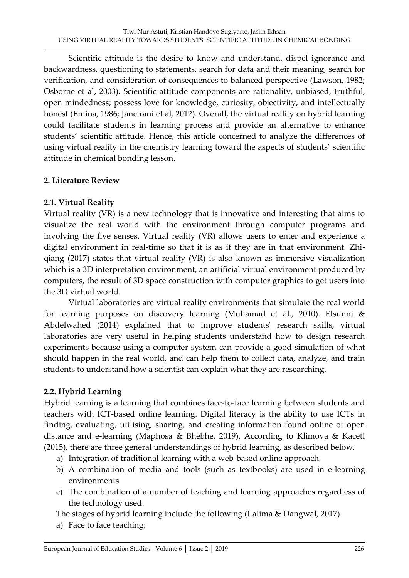Scientific attitude is the desire to know and understand, dispel ignorance and backwardness, questioning to statements, search for data and their meaning, search for verification, and consideration of consequences to balanced perspective (Lawson, 1982; Osborne et al, 2003). Scientific attitude components are rationality, unbiased, truthful, open mindedness; possess love for knowledge, curiosity, objectivity, and intellectually honest (Emina, 1986; Jancirani et al, 2012). Overall, the virtual reality on hybrid learning could facilitate students in learning process and provide an alternative to enhance students' scientific attitude. Hence, this article concerned to analyze the differences of using virtual reality in the chemistry learning toward the aspects of students' scientific attitude in chemical bonding lesson.

## **2. Literature Review**

### **2.1. Virtual Reality**

Virtual reality (VR) is a new technology that is innovative and interesting that aims to visualize the real world with the environment through computer programs and involving the five senses. Virtual reality (VR) allows users to enter and experience a digital environment in real-time so that it is as if they are in that environment. Zhiqiang (2017) states that virtual reality (VR) is also known as immersive visualization which is a 3D interpretation environment, an artificial virtual environment produced by computers, the result of 3D space construction with computer graphics to get users into the 3D virtual world.

Virtual laboratories are virtual reality environments that simulate the real world for learning purposes on discovery learning (Muhamad et al., 2010). Elsunni & Abdelwahed (2014) explained that to improve students' research skills, virtual laboratories are very useful in helping students understand how to design research experiments because using a computer system can provide a good simulation of what should happen in the real world, and can help them to collect data, analyze, and train students to understand how a scientist can explain what they are researching.

### **2.2. Hybrid Learning**

Hybrid learning is a learning that combines face-to-face learning between students and teachers with ICT-based online learning. Digital literacy is the ability to use ICTs in finding, evaluating, utilising, sharing, and creating information found online of open distance and e-learning (Maphosa & Bhebhe, 2019). According to Klimova & Kacetl (2015), there are three general understandings of hybrid learning, as described below.

- a) Integration of traditional learning with a web-based online approach.
- b) A combination of media and tools (such as textbooks) are used in e-learning environments
- c) The combination of a number of teaching and learning approaches regardless of the technology used.

The stages of hybrid learning include the following (Lalima & Dangwal, 2017)

a) Face to face teaching;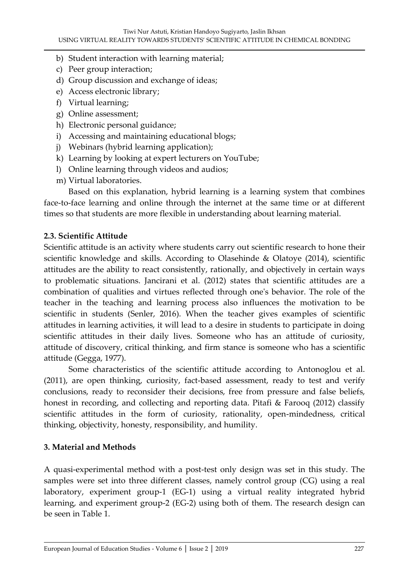- b) Student interaction with learning material;
- c) Peer group interaction;
- d) Group discussion and exchange of ideas;
- e) Access electronic library;
- f) Virtual learning;
- g) Online assessment;
- h) Electronic personal guidance;
- i) Accessing and maintaining educational blogs;
- j) Webinars (hybrid learning application);
- k) Learning by looking at expert lecturers on YouTube;
- l) Online learning through videos and audios;
- m) Virtual laboratories.

Based on this explanation, hybrid learning is a learning system that combines face-to-face learning and online through the internet at the same time or at different times so that students are more flexible in understanding about learning material.

## **2.3. Scientific Attitude**

Scientific attitude is an activity where students carry out scientific research to hone their scientific knowledge and skills. According to Olasehinde & Olatoye (2014), scientific attitudes are the ability to react consistently, rationally, and objectively in certain ways to problematic situations. Jancirani et al. (2012) states that scientific attitudes are a combination of qualities and virtues reflected through one's behavior. The role of the teacher in the teaching and learning process also influences the motivation to be scientific in students (Senler, 2016). When the teacher gives examples of scientific attitudes in learning activities, it will lead to a desire in students to participate in doing scientific attitudes in their daily lives. Someone who has an attitude of curiosity, attitude of discovery, critical thinking, and firm stance is someone who has a scientific attitude (Gegga, 1977).

Some characteristics of the scientific attitude according to Antonoglou et al. (2011), are open thinking, curiosity, fact-based assessment, ready to test and verify conclusions, ready to reconsider their decisions, free from pressure and false beliefs, honest in recording, and collecting and reporting data. Pitafi & Farooq (2012) classify scientific attitudes in the form of curiosity, rationality, open-mindedness, critical thinking, objectivity, honesty, responsibility, and humility.

# **3. Material and Methods**

A quasi-experimental method with a post-test only design was set in this study. The samples were set into three different classes, namely control group (CG) using a real laboratory, experiment group-1 (EG-1) using a virtual reality integrated hybrid learning, and experiment group-2 (EG-2) using both of them. The research design can be seen in Table 1.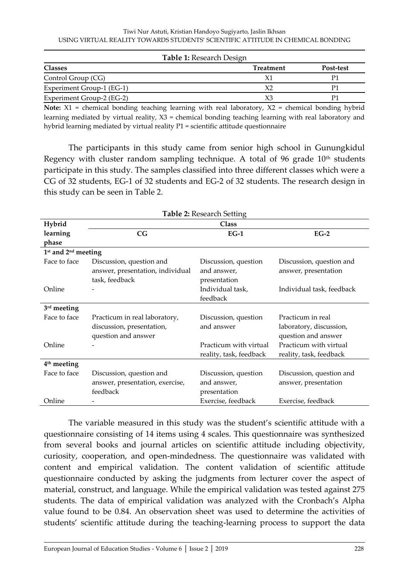|                           | <b>Table 1: Research Design</b> |           |
|---------------------------|---------------------------------|-----------|
| <b>Classes</b>            | <b>Treatment</b>                | Post-test |
| Control Group (CG)        | Χ1                              |           |
| Experiment Group-1 (EG-1) | X2                              |           |
| Experiment Group-2 (EG-2) | XЗ                              |           |

**Note:** X1 = chemical bonding teaching learning with real laboratory, X2 = chemical bonding hybrid learning mediated by virtual reality, X3 = chemical bonding teaching learning with real laboratory and hybrid learning mediated by virtual reality P1 = scientific attitude questionnaire

The participants in this study came from senior high school in Gunungkidul Regency with cluster random sampling technique. A total of 96 grade  $10<sup>th</sup>$  students participate in this study. The samples classified into three different classes which were a CG of 32 students, EG-1 of 32 students and EG-2 of 32 students. The research design in this study can be seen in Table 2.

| <b>Table 2: Research Setting</b>            |                                  |                         |                           |  |
|---------------------------------------------|----------------------------------|-------------------------|---------------------------|--|
| Hybrid                                      | <b>Class</b>                     |                         |                           |  |
| learning                                    | CG                               | $EG-1$                  | $EG-2$                    |  |
| phase                                       |                                  |                         |                           |  |
| 1 <sup>st</sup> and 2 <sup>nd</sup> meeting |                                  |                         |                           |  |
| Face to face                                | Discussion, question and         | Discussion, question    | Discussion, question and  |  |
|                                             | answer, presentation, individual | and answer,             | answer, presentation      |  |
|                                             | task, feedback                   | presentation            |                           |  |
| Online                                      |                                  | Individual task,        | Individual task, feedback |  |
|                                             |                                  | feedback                |                           |  |
| 3rd meeting                                 |                                  |                         |                           |  |
| Face to face                                | Practicum in real laboratory,    | Discussion, question    | Practicum in real         |  |
|                                             | discussion, presentation,        | and answer              | laboratory, discussion,   |  |
|                                             | question and answer              |                         | question and answer       |  |
| Online                                      |                                  | Practicum with virtual  | Practicum with virtual    |  |
|                                             |                                  | reality, task, feedback | reality, task, feedback   |  |
| 4 <sup>th</sup> meeting                     |                                  |                         |                           |  |
| Face to face                                | Discussion, question and         | Discussion, question    | Discussion, question and  |  |
|                                             | answer, presentation, exercise,  | and answer,             | answer, presentation      |  |
|                                             | feedback                         | presentation            |                           |  |
| Online                                      |                                  | Exercise, feedback      | Exercise, feedback        |  |

The variable measured in this study was the student's scientific attitude with a questionnaire consisting of 14 items using 4 scales. This questionnaire was synthesized from several books and journal articles on scientific attitude including objectivity, curiosity, cooperation, and open-mindedness. The questionnaire was validated with content and empirical validation. The content validation of scientific attitude questionnaire conducted by asking the judgments from lecturer cover the aspect of material, construct, and language. While the empirical validation was tested against 275 students. The data of empirical validation was analyzed with the Cronbach's Alpha value found to be 0.84. An observation sheet was used to determine the activities of students' scientific attitude during the teaching-learning process to support the data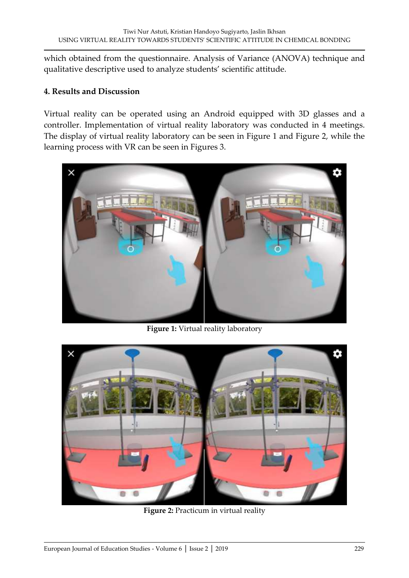which obtained from the questionnaire. Analysis of Variance (ANOVA) technique and qualitative descriptive used to analyze students' scientific attitude.

#### **4. Results and Discussion**

Virtual reality can be operated using an Android equipped with 3D glasses and a controller. Implementation of virtual reality laboratory was conducted in 4 meetings. The display of virtual reality laboratory can be seen in Figure 1 and Figure 2, while the learning process with VR can be seen in Figures 3.



**Figure 1:** Virtual reality laboratory



**Figure 2:** Practicum in virtual reality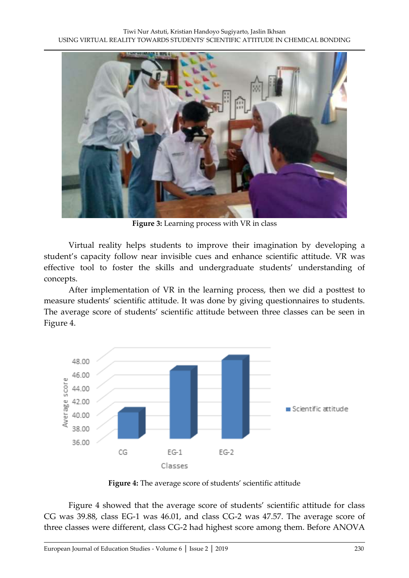

**Figure 3:** Learning process with VR in class

Virtual reality helps students to improve their imagination by developing a student's capacity follow near invisible cues and enhance scientific attitude. VR was effective tool to foster the skills and undergraduate students' understanding of concepts.

After implementation of VR in the learning process, then we did a posttest to measure students' scientific attitude. It was done by giving questionnaires to students. The average score of students' scientific attitude between three classes can be seen in Figure 4.



**Figure 4:** The average score of students' scientific attitude

Figure 4 showed that the average score of students' scientific attitude for class CG was 39.88, class EG-1 was 46.01, and class CG-2 was 47.57. The average score of three classes were different, class CG-2 had highest score among them. Before ANOVA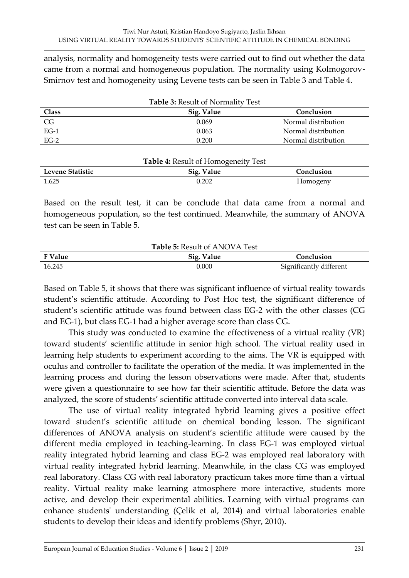analysis, normality and homogeneity tests were carried out to find out whether the data came from a normal and homogeneous population. The normality using Kolmogorov-Smirnov test and homogeneity using Levene tests can be seen in Table 3 and Table 4.

| <b>Table 3: Result of Normality Test</b> |            |                     |  |
|------------------------------------------|------------|---------------------|--|
| Class                                    | Sig. Value | Conclusion          |  |
| CG.                                      | 0.069      | Normal distribution |  |
| $EG-1$                                   | 0.063      | Normal distribution |  |
| $EG-2$                                   | 0.200      | Normal distribution |  |

| <b>Table 4: Result of Homogeneity Test</b> |            |            |
|--------------------------------------------|------------|------------|
| Levene Statistic                           | Sig. Value | Conclusion |
| 1.625                                      | 0.202      | Homogeny   |

Based on the result test, it can be conclude that data came from a normal and homogeneous population, so the test continued. Meanwhile, the summary of ANOVA test can be seen in Table 5.

| <b>Table 5: Result of ANOVA Test</b> |            |                         |  |
|--------------------------------------|------------|-------------------------|--|
| <b>F</b> Value                       | Sig. Value | Conclusion              |  |
| 16.245                               | 0.000      | Significantly different |  |

Based on Table 5, it shows that there was significant influence of virtual reality towards student's scientific attitude. According to Post Hoc test, the significant difference of student's scientific attitude was found between class EG-2 with the other classes (CG and EG-1), but class EG-1 had a higher average score than class CG.

This study was conducted to examine the effectiveness of a virtual reality (VR) toward students' scientific attitude in senior high school. The virtual reality used in learning help students to experiment according to the aims. The VR is equipped with oculus and controller to facilitate the operation of the media. It was implemented in the learning process and during the lesson observations were made. After that, students were given a questionnaire to see how far their scientific attitude. Before the data was analyzed, the score of students' scientific attitude converted into interval data scale.

The use of virtual reality integrated hybrid learning gives a positive effect toward student's scientific attitude on chemical bonding lesson. The significant differences of ANOVA analysis on student's scientific attitude were caused by the different media employed in teaching-learning. In class EG-1 was employed virtual reality integrated hybrid learning and class EG-2 was employed real laboratory with virtual reality integrated hybrid learning. Meanwhile, in the class CG was employed real laboratory. Class CG with real laboratory practicum takes more time than a virtual reality. Virtual reality make learning atmosphere more interactive, students more active, and develop their experimental abilities. Learning with virtual programs can enhance students' understanding (Çelik et al, 2014) and virtual laboratories enable students to develop their ideas and identify problems (Shyr, 2010).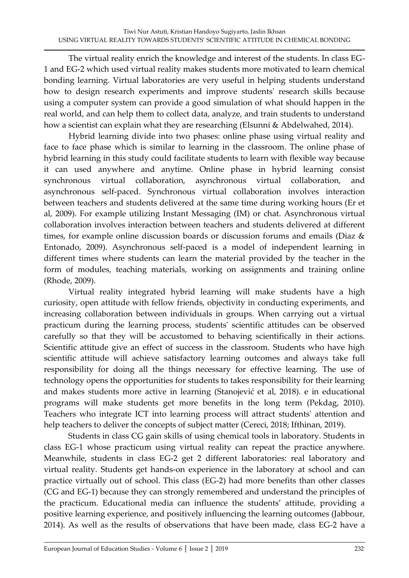The virtual reality enrich the knowledge and interest of the students. In class EG-1 and EG-2 which used virtual reality makes students more motivated to learn chemical bonding learning. Virtual laboratories are very useful in helping students understand how to design research experiments and improve students' research skills because using a computer system can provide a good simulation of what should happen in the real world, and can help them to collect data, analyze, and train students to understand how a scientist can explain what they are researching (Elsunni & Abdelwahed, 2014).

Hybrid learning divide into two phases: online phase using virtual reality and face to face phase which is similar to learning in the classroom. The online phase of hybrid learning in this study could facilitate students to learn with flexible way because it can used anywhere and anytime. Online phase in hybrid learning consist synchronous virtual collaboration, asynchronous virtual collaboration, and asynchronous self-paced. Synchronous virtual collaboration involves interaction between teachers and students delivered at the same time during working hours (Er et al, 2009). For example utilizing Instant Messaging (IM) or chat. Asynchronous virtual collaboration involves interaction between teachers and students delivered at different times, for example online discussion boards or discussion forums and emails (Diaz & Entonado, 2009). Asynchronous self-paced is a model of independent learning in different times where students can learn the material provided by the teacher in the form of modules, teaching materials, working on assignments and training online (Rhode, 2009).

Virtual reality integrated hybrid learning will make students have a high curiosity, open attitude with fellow friends, objectivity in conducting experiments, and increasing collaboration between individuals in groups. When carrying out a virtual practicum during the learning process, students' scientific attitudes can be observed carefully so that they will be accustomed to behaving scientifically in their actions. Scientific attitude give an effect of success in the classroom. Students who have high scientific attitude will achieve satisfactory learning outcomes and always take full responsibility for doing all the things necessary for effective learning. The use of technology opens the opportunities for students to takes responsibility for their learning and makes students more active in learning (Stanojević et al, 2018). e in educational programs will make students get more benefits in the long term (Pekdag, 2010). Teachers who integrate ICT into learning process will attract students' attention and help teachers to deliver the concepts of subject matter (Cereci, 2018; Ifthinan, 2019).

Students in class CG gain skills of using chemical tools in laboratory. Students in class EG-1 whose practicum using virtual reality can repeat the practice anywhere. Meanwhile, students in class EG-2 get 2 different laboratories: real laboratory and virtual reality. Students get hands-on experience in the laboratory at school and can practice virtually out of school. This class (EG-2) had more benefits than other classes (CG and EG-1) because they can strongly remembered and understand the principles of the practicum. Educational media can influence the students' attitude, providing a positive learning experience, and positively influencing the learning outcomes (Jabbour, 2014). As well as the results of observations that have been made, class EG-2 have a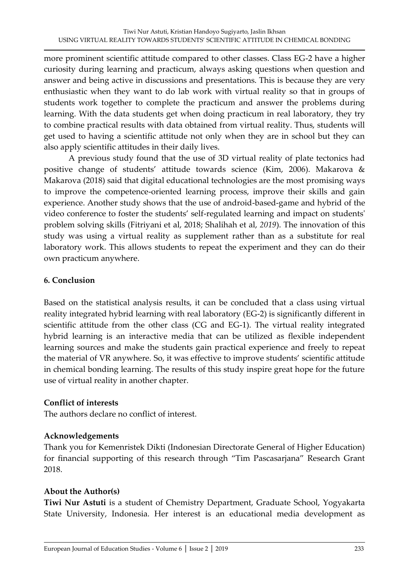more prominent scientific attitude compared to other classes. Class EG-2 have a higher curiosity during learning and practicum, always asking questions when question and answer and being active in discussions and presentations. This is because they are very enthusiastic when they want to do lab work with virtual reality so that in groups of students work together to complete the practicum and answer the problems during learning. With the data students get when doing practicum in real laboratory, they try to combine practical results with data obtained from virtual reality. Thus, students will get used to having a scientific attitude not only when they are in school but they can also apply scientific attitudes in their daily lives.

A previous study found that the use of 3D virtual reality of plate tectonics had positive change of students' attitude towards science (Kim, 2006). Makarova & Makarova (2018) said that digital educational technologies are the most promising ways to improve the competence-oriented learning process, improve their skills and gain experience. Another study shows that the use of android-based-game and hybrid of the video conference to foster the students' self-regulated learning and impact on students' problem solving skills (Fitriyani et al, 2018; Shalihah et al, *2019*). The innovation of this study was using a virtual reality as supplement rather than as a substitute for real laboratory work. This allows students to repeat the experiment and they can do their own practicum anywhere.

### **6. Conclusion**

Based on the statistical analysis results, it can be concluded that a class using virtual reality integrated hybrid learning with real laboratory (EG-2) is significantly different in scientific attitude from the other class (CG and EG-1). The virtual reality integrated hybrid learning is an interactive media that can be utilized as flexible independent learning sources and make the students gain practical experience and freely to repeat the material of VR anywhere. So, it was effective to improve students' scientific attitude in chemical bonding learning. The results of this study inspire great hope for the future use of virtual reality in another chapter.

### **Conflict of interests**

The authors declare no conflict of interest.

### **Acknowledgements**

Thank you for Kemenristek Dikti (Indonesian Directorate General of Higher Education) for financial supporting of this research through "Tim Pascasarjana" Research Grant 2018.

### **About the Author(s)**

**Tiwi Nur Astuti** is a student of Chemistry Department, Graduate School, Yogyakarta State University, Indonesia. Her interest is an educational media development as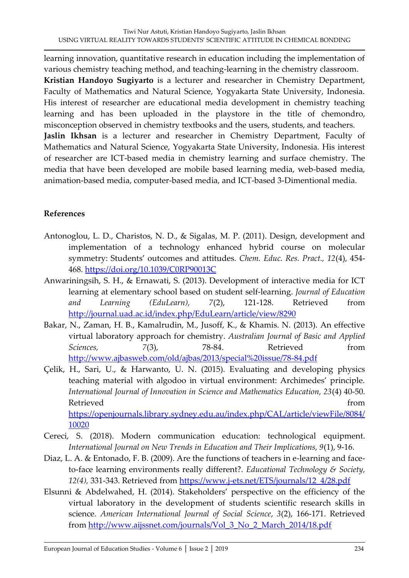learning innovation, quantitative research in education including the implementation of various chemistry teaching method, and teaching-learning in the chemistry classroom. **Kristian Handoyo Sugiyarto** is a lecturer and researcher in Chemistry Department, Faculty of Mathematics and Natural Science, Yogyakarta State University, Indonesia. His interest of researcher are educational media development in chemistry teaching learning and has been uploaded in the playstore in the title of chemondro, misconception observed in chemistry textbooks and the users, students, and teachers. **Jaslin Ikhsan** is a lecturer and researcher in Chemistry Department, Faculty of Mathematics and Natural Science, Yogyakarta State University, Indonesia. His interest of researcher are ICT-based media in chemistry learning and surface chemistry. The media that have been developed are mobile based learning media, web-based media, animation-based media, computer-based media, and ICT-based 3-Dimentional media.

### **References**

- Antonoglou, L. D., Charistos, N. D., & Sigalas, M. P. (2011). Design, development and implementation of a technology enhanced hybrid course on molecular symmetry: Students' outcomes and attitudes. *Chem. Educ. Res. Pract., 12*(4), 454- 468.<https://doi.org/10.1039/C0RP90013C>
- Anwariningsih, S. H., & Ernawati, S. (2013). Development of interactive media for ICT learning at elementary school based on student self-learning. *Journal of Education and Learning (EduLearn), 7*(2), 121-128. Retrieved from <http://journal.uad.ac.id/index.php/EduLearn/article/view/8290>
- Bakar, N., Zaman, H. B., Kamalrudin, M., Jusoff, K., & Khamis. N. (2013). An effective virtual laboratory approach for chemistry. *Australian Journal of Basic and Applied Sciences, 7*(3), 78-84. Retrieved from <http://www.ajbasweb.com/old/ajbas/2013/special%20issue/78-84.pdf>
- Çelik, H., Sari, U., & Harwanto, U. N. (2015). Evaluating and developing physics teaching material with algodoo in virtual environment: Archimedes' principle. *International Journal of Innovation in Science and Mathematics Education, 23*(4) 40-50. Retrieved from the settlement of the settlement of the settlement of the settlement of the settlement of the s [https://openjournals.library.sydney.edu.au/index.php/CAL/article/viewFile/8084/](https://openjournals.library.sydney.edu.au/index.php/CAL/article/viewFile/8084/10020) [10020](https://openjournals.library.sydney.edu.au/index.php/CAL/article/viewFile/8084/10020)
- Cereci, S. (2018). Modern communication education: technological equipment. *International Journal on New Trends in Education and Their Implications, 9*(1), 9-16.
- Diaz, L. A. & Entonado, F. B. (2009). Are the functions of teachers in e-learning and faceto-face learning environments really different?. *Educational Technology & Society, 12(4),* 331-343. Retrieved from [https://www.j-ets.net/ETS/journals/12\\_4/28.pdf](https://www.j-ets.net/ETS/journals/12_4/28.pdf)
- Elsunni & Abdelwahed, H. (2014). Stakeholders' perspective on the efficiency of the virtual laboratory in the development of students scientific research skills in science. *American International Journal of Social Science*, *3*(2), 166-171. Retrieved from [http://www.aijssnet.com/journals/Vol\\_3\\_No\\_2\\_March\\_2014/18.pdf](http://www.aijssnet.com/journals/Vol_3_No_2_March_2014/18.pdf)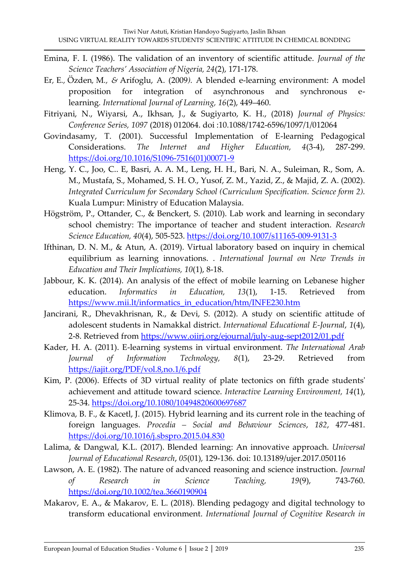- Emina, F. I. (1986). The validation of an inventory of scientific attitude. *Journal of the Science Teachers' Association of Nigeria, 24*(2), 171-178.
- Er*,* E*.,* Özden*,* M*., &* Arifoglu, A. (2009*).* A blended e-learning environment: A model proposition for integration of asynchronous and synchronous elearning*. International Journal of Learning, 16*(2), 449–460.
- Fitriyani, N., Wiyarsi, A., Ikhsan, J., & Sugiyarto, K. H., (2018) *Journal of Physics: Conference Series, 1097* (2018) 012064. doi :10.1088/1742-6596/1097/1/012064
- Govindasamy, T. (2001). Successful Implementation of E-learning Pedagogical Considerations. *The Internet and Higher Education, 4*(3-4), 287-299. [https://doi.org/10.1016/S1096-7516\(01\)00071-9](https://doi.org/10.1016/S1096-7516(01)00071-9)
- Heng, Y. C., Joo, C.. E, Basri, A. A. M., Leng, H. H., Bari, N. A., Suleiman, R., Som, A. M., Mustafa, S., Mohamed, S. H. O., Yusof, Z. M., Yazid, Z., & Majid, Z. A. (2002). *Integrated Curriculum for Secondary School (Curriculum Specification. Science form 2).* Kuala Lumpur: Ministry of Education Malaysia.
- Högström, P., Ottander, C., & Benckert, S. (2010). Lab work and learning in secondary school chemistry: The importance of teacher and student interaction. *Research Science Education, 40*(4), 505-523.<https://doi.org/10.1007/s11165-009-9131-3>
- Ifthinan, D. N. M., & Atun, A. (2019). Virtual laboratory based on inquiry in chemical equilibrium as learning innovations. . *International Journal on New Trends in Education and Their Implications, 10*(1), 8-18.
- Jabbour, K. K. (2014). An analysis of the effect of mobile learning on Lebanese higher education. *Informatics in Education, 13*(1), 1-15. Retrieved from [https://www.mii.lt/informatics\\_in\\_education/htm/INFE230.htm](https://www.mii.lt/informatics_in_education/htm/INFE230.htm)
- Jancirani, R., Dhevakhrisnan, R., & Devi, S. (2012). A study on scientific attitude of adolescent students in Namakkal district. *International Educational E-Journal*, *1*(4), 2-8. Retrieved from<https://www.oiirj.org/ejournal/july-aug-sept2012/01.pdf>
- Kader, H. A. (2011). E-learning systems in virtual environment. *The International Arab Journal of Information Technology, 8*(1), 23-29. Retrieved from <https://iajit.org/PDF/vol.8,no.1/6.pdf>
- Kim, P. (2006). Effects of 3D virtual reality of plate tectonics on fifth grade students' achievement and attitude toward science. *Interactive Learning Environment, 14*(1), 25-34.<https://doi.org/10.1080/10494820600697687>
- Klimova, B. F., & Kacetl, J. (2015). Hybrid learning and its current role in the teaching of foreign languages. *Procedia – Social and Behaviour Sciences*, *182*, 477-481. <https://doi.org/10.1016/j.sbspro.2015.04.830>
- Lalima, & Dangwal, K.L. (2017). Blended learning: An innovative approach. *Universal Journal of Educational Research*, *05*(01), 129-136. doi: 10.13189/ujer.2017.050116
- Lawson, A. E. (1982). The nature of advanced reasoning and science instruction. *Journal of Research in Science Teaching, 19*(9), 743-760. <https://doi.org/10.1002/tea.3660190904>
- Makarov, E. A., & Makarov, E. L. (2018). Blending pedagogy and digital technology to transform educational environment. *International Journal of Cognitive Research in*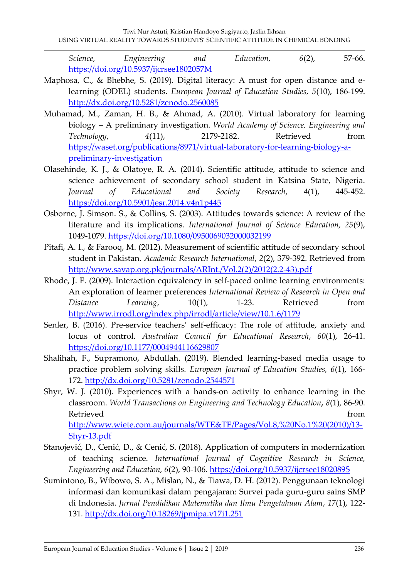*Science, Engineering and Education, 6*(2), 57-66. <https://doi.org/10.5937/ijcrsee1802057M>

- Maphosa, C., & Bhebhe, S. (2019). Digital literacy: A must for open distance and elearning (ODEL) students. *European Journal of Education Studies, 5*(10), 186-199. <http://dx.doi.org/10.5281/zenodo.2560085>
- Muhamad, M., Zaman, H. B., & Ahmad, A. (2010). Virtual laboratory for learning biology – A preliminary investigation. *World Academy of Science, Engineering and Technology*, *4*(11), 2179-2182. Retrieved from [https://waset.org/publications/8971/virtual-laboratory-for-learning-biology-a](https://waset.org/publications/8971/virtual-laboratory-for-learning-biology-a-preliminary-investigation)[preliminary-investigation](https://waset.org/publications/8971/virtual-laboratory-for-learning-biology-a-preliminary-investigation)
- Olasehinde, K. J., & Olatoye, R. A. (2014). Scientific attitude, attitude to science and science achievement of secondary school student in Katsina State, Nigeria. *Journal of Educational and Society Research*, *4*(1), 445-452. <https://doi.org/10.5901/jesr.2014.v4n1p445>
- Osborne, J. Simson. S., & Collins, S. (2003). Attitudes towards science: A review of the literature and its implications. *International Journal of Science Education, 25*(9), 1049-1079.<https://doi.org/10.1080/0950069032000032199>
- Pitafi, A. I., & Farooq, M. (2012). Measurement of scientific attitude of secondary school student in Pakistan. *Academic Research International*, *2*(2), 379-392. Retrieved from [http://www.savap.org.pk/journals/ARInt./Vol.2\(2\)/2012\(2.2-43\).pdf](http://www.savap.org.pk/journals/ARInt./Vol.2(2)/2012(2.2-43).pdf)
- Rhode, J. F. (2009). Interaction equivalency in self-paced online learning environments: An exploration of learner preferences *International Review of Research in Open and Distance Learning*, 10(1), 1-23. Retrieved from <http://www.irrodl.org/index.php/irrodl/article/view/10.1.6/1179>
- Senler, B. (2016). Pre-service teachers' self-efficacy: The role of attitude, anxiety and locus of control. *Australian Council for Educational Research*, *60*(1), 26-41. <https://doi.org/10.1177/0004944116629807>
- Shalihah, F., Supramono, Abdullah. (2019). Blended learning-based media usage to practice problem solving skills. *European Journal of Education Studies, 6*(1), 166- 172.<http://dx.doi.org/10.5281/zenodo.2544571>
- Shyr, W. J. (2010). Experiences with a hands-on activity to enhance learning in the classroom. *World Transactions on Engineering and Technology Education, 8*(1), 86-90. Retrieved from the state of the state of the state of the state of the state of the state of the state of the state of the state of the state of the state of the state of the state of the state of the state of the state of [http://www.wiete.com.au/journals/WTE&TE/Pages/Vol.8,%20No.1%20\(2010\)/13-](http://www.wiete.com.au/journals/WTE&TE/Pages/Vol.8,%20No.1%20(2010)/13-Shyr-13.pdf) [Shyr-13.pdf](http://www.wiete.com.au/journals/WTE&TE/Pages/Vol.8,%20No.1%20(2010)/13-Shyr-13.pdf)
- Stanojević, D., Cenić, D., & Cenić, S. (2018). Application of computers in modernization of teaching science. *International Journal of Cognitive Research in Science, Engineering and Education, 6*(2), 90-106.<https://doi.org/10.5937/ijcrsee1802089S>
- Sumintono, B., Wibowo, S. A., Mislan, N., & Tiawa, D. H. (2012). Penggunaan teknologi informasi dan komunikasi dalam pengajaran: Survei pada guru-guru sains SMP di Indonesia. *Jurnal Pendidikan Matematika dan Ilmu Pengetahuan Alam*, *17*(1), 122- 131.<http://dx.doi.org/10.18269/jpmipa.v17i1.251>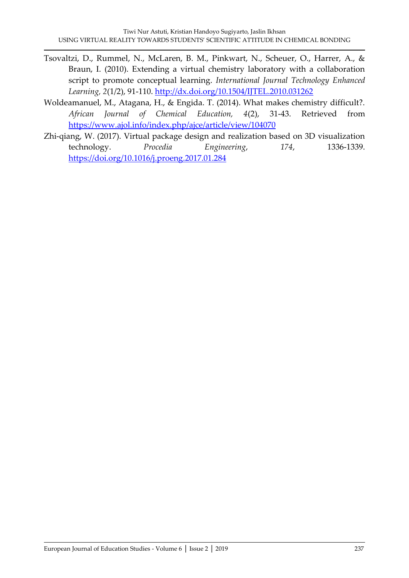- Tsovaltzi, D., Rummel, N., McLaren, B. M., Pinkwart, N., Scheuer, O., Harrer, A., & Braun, I. (2010). Extending a virtual chemistry laboratory with a collaboration script to promote conceptual learning. *International Journal Technology Enhanced Learning, 2*(1/2), 91-110.<http://dx.doi.org/10.1504/IJTEL.2010.031262>
- Woldeamanuel, M., Atagana, H., & Engida. T. (2014). What makes chemistry difficult?. *African Journal of Chemical Education, 4*(2), 31-43. Retrieved from <https://www.ajol.info/index.php/ajce/article/view/104070>
- Zhi-qiang, W. (2017). Virtual package design and realization based on 3D visualization technology. *Procedia Engineering*, *174*, 1336-1339. <https://doi.org/10.1016/j.proeng.2017.01.284>